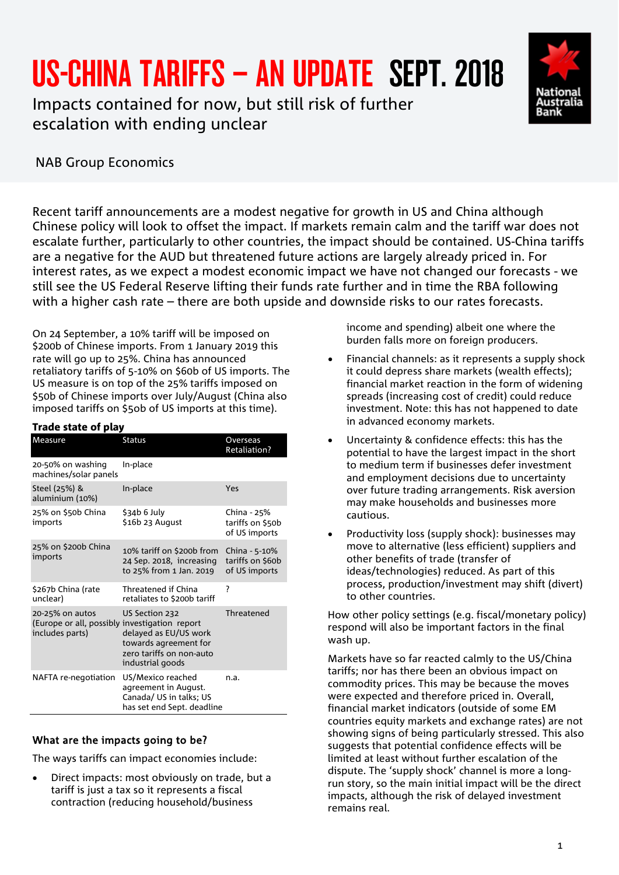# US-CHINA TARIFFS – AN UPDATE SEPT. 2018

Impacts contained for now, but still risk of further escalation with ending unclear



## NAB Group Economics

Recent tariff announcements are a modest negative for growth in US and China although Chinese policy will look to offset the impact. If markets remain calm and the tariff war does not escalate further, particularly to other countries, the impact should be contained. US-China tariffs are a negative for the AUD but threatened future actions are largely already priced in. For interest rates, as we expect a modest economic impact we have not changed our forecasts - we still see the US Federal Reserve lifting their funds rate further and in time the RBA following with a higher cash rate – there are both upside and downside risks to our rates forecasts.

On 24 September, a 10% tariff will be imposed on \$200b of Chinese imports. From 1 January 2019 this rate will go up to 25%. China has announced retaliatory tariffs of 5-10% on \$60b of US imports. The US measure is on top of the 25% tariffs imposed on \$50b of Chinese imports over July/August (China also imposed tariffs on \$5ob of US imports at this time).

| Trade state of play                                                                 |                                                                                                                  |                                                    |
|-------------------------------------------------------------------------------------|------------------------------------------------------------------------------------------------------------------|----------------------------------------------------|
| Measure                                                                             | <b>Status</b>                                                                                                    | Overseas<br><b>Retaliation?</b>                    |
| 20-50% on washing<br>machines/solar panels                                          | In-place                                                                                                         |                                                    |
| Steel (25%) &<br>aluminium (10%)                                                    | In-place                                                                                                         | Yes                                                |
| 25% on \$50b China<br>imports                                                       | \$34b 6 July<br>\$16b 23 August                                                                                  | China - 25%<br>tariffs on \$50b<br>of US imports   |
| 25% on \$200b China<br>imports                                                      | 10% tariff on \$200b from<br>24 Sep. 2018, increasing<br>to 25% from 1 Jan. 2019                                 | China - 5-10%<br>tariffs on \$60b<br>of US imports |
| \$267b China (rate<br>unclear)                                                      | <b>Threatened if China</b><br>retaliates to \$200b tariff                                                        | ?                                                  |
| 20-25% on autos<br>(Europe or all, possibly investigation report<br>includes parts) | US Section 232<br>delayed as EU/US work<br>towards agreement for<br>zero tariffs on non-auto<br>industrial goods | Threatened                                         |
| NAFTA re-negotiation                                                                | US/Mexico reached<br>agreement in August.<br>Canada/ US in talks; US<br>has set end Sept. deadline               | n.a.                                               |

### What are the impacts going to be?

The ways tariffs can impact economies include:

• Direct impacts: most obviously on trade, but a tariff is just a tax so it represents a fiscal contraction (reducing household/business

income and spending) albeit one where the burden falls more on foreign producers.

- Financial channels: as it represents a supply shock it could depress share markets (wealth effects); financial market reaction in the form of widening spreads (increasing cost of credit) could reduce investment. Note: this has not happened to date in advanced economy markets.
- Uncertainty & confidence effects: this has the potential to have the largest impact in the short to medium term if businesses defer investment and employment decisions due to uncertainty over future trading arrangements. Risk aversion may make households and businesses more cautious.
- Productivity loss (supply shock): businesses may move to alternative (less efficient) suppliers and other benefits of trade (transfer of ideas/technologies) reduced. As part of this process, production/investment may shift (divert) to other countries.

How other policy settings (e.g. fiscal/monetary policy) respond will also be important factors in the final wash up.

Markets have so far reacted calmly to the US/China tariffs; nor has there been an obvious impact on commodity prices. This may be because the moves were expected and therefore priced in. Overall, financial market indicators (outside of some EM countries equity markets and exchange rates) are not showing signs of being particularly stressed. This also suggests that potential confidence effects will be limited at least without further escalation of the dispute. The 'supply shock' channel is more a longrun story, so the main initial impact will be the direct impacts, although the risk of delayed investment remains real.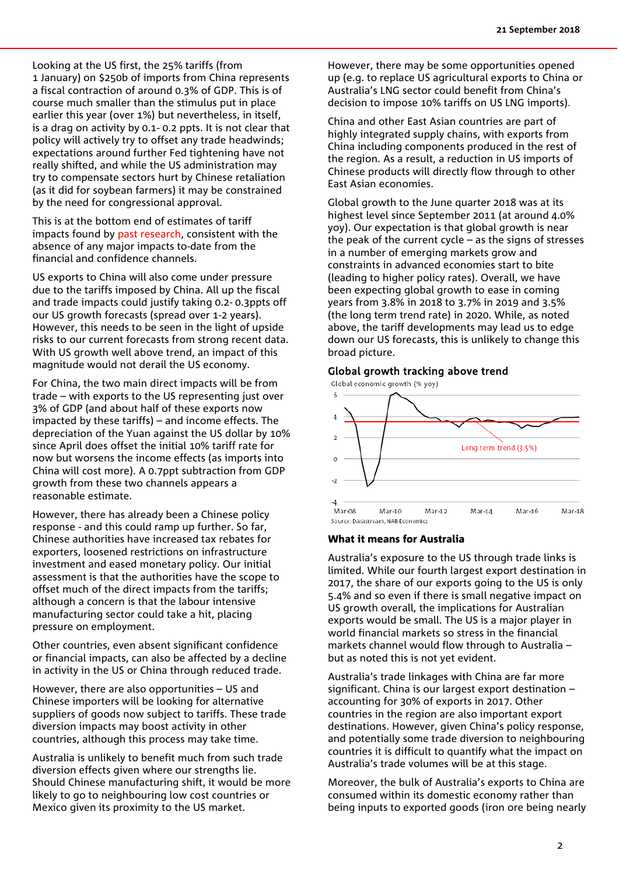Looking at the US first, the 25% tariffs (from 1 January) on \$250b of imports from China represents a fiscal contraction of around 0.3% of GDP. This is of course much smaller than the stimulus put in place earlier this year (over 1%) but nevertheless, in itself, is a drag on activity by 0.1- 0.2 ppts. It is not clear that policy will actively try to offset any trade headwinds; expectations around further Fed tightening have not really shifted, and while the US administration may try to compensate sectors hurt by Chinese retaliation (as it did for soybean farmers) it may be constrained by the need for congressional approval.

This is at the bottom end of estimates of tariff impacts found by [past research,](https://business.nab.com.au/trade-tensions-on-the-rise-july-2018-30426/) consistent with the absence of any major impacts to-date from the financial and confidence channels.

US exports to China will also come under pressure due to the tariffs imposed by China. All up the fiscal and trade impacts could justify taking 0.2- 0.3ppts off our US growth forecasts (spread over 1-2 years). However, this needs to be seen in the light of upside risks to our current forecasts from strong recent data. With US growth well above trend, an impact of this magnitude would not derail the US economy.

For China, the two main direct impacts will be from trade – with exports to the US representing just over 3% of GDP (and about half of these exports now impacted by these tariffs) – and income effects. The depreciation of the Yuan against the US dollar by 10% since April does offset the initial 10% tariff rate for now but worsens the income effects (as imports into China will cost more). A 0.7ppt subtraction from GDP growth from these two channels appears a reasonable estimate.

However, there has already been a Chinese policy response - and this could ramp up further. So far, Chinese authorities have increased tax rebates for exporters, loosened restrictions on infrastructure investment and eased monetary policy. Our initial assessment is that the authorities have the scope to offset much of the direct impacts from the tariffs; although a concern is that the labour intensive manufacturing sector could take a hit, placing pressure on employment.

Other countries, even absent significant confidence or financial impacts, can also be affected by a decline in activity in the US or China through reduced trade.

However, there are also opportunities – US and Chinese importers will be looking for alternative suppliers of goods now subject to tariffs. These trade diversion impacts may boost activity in other countries, although this process may take time.

Australia is unlikely to benefit much from such trade diversion effects given where our strengths lie. Should Chinese manufacturing shift, it would be more likely to go to neighbouring low cost countries or Mexico given its proximity to the US market.

However, there may be some opportunities opened up (e.g. to replace US agricultural exports to China or Australia's LNG sector could benefit from China's decision to impose 10% tariffs on US LNG imports).

China and other East Asian countries are part of highly integrated supply chains, with exports from China including components produced in the rest of the region. As a result, a reduction in US imports of Chinese products will directly flow through to other East Asian economies.

Global growth to the June quarter 2018 was at its highest level since September 2011 (at around 4.0% yoy). Our expectation is that global growth is near the peak of the current cycle – as the signs of stresses in a number of emerging markets grow and constraints in advanced economies start to bite (leading to higher policy rates). Overall, we have been expecting global growth to ease in coming years from 3.8% in 2018 to 3.7% in 2019 and 3.5% (the long term trend rate) in 2020. While, as noted above, the tariff developments may lead us to edge down our US forecasts, this is unlikely to change this broad picture.

#### Global growth tracking above trend





#### What it means for Australia

Australia's exposure to the US through trade links is limited. While our fourth largest export destination in 2017, the share of our exports going to the US is only 5.4% and so even if there is small negative impact on US growth overall, the implications for Australian exports would be small. The US is a major player in world financial markets so stress in the financial markets channel would flow through to Australia – but as noted this is not yet evident.

Australia's trade linkages with China are far more significant. China is our largest export destination – accounting for 30% of exports in 2017. Other countries in the region are also important export destinations. However, given China's policy response, and potentially some trade diversion to neighbouring countries it is difficult to quantify what the impact on Australia's trade volumes will be at this stage.

Moreover, the bulk of Australia's exports to China are consumed within its domestic economy rather than being inputs to exported goods (iron ore being nearly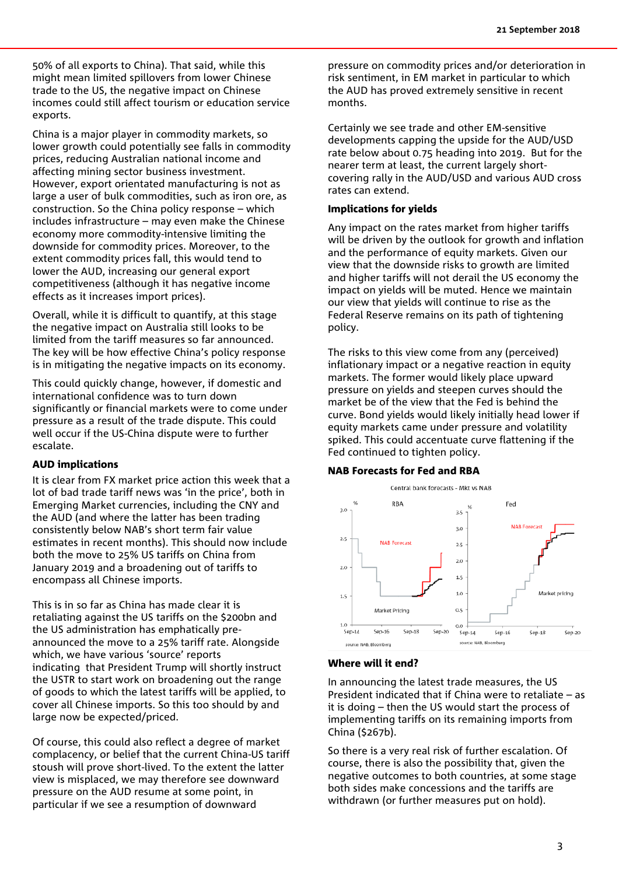50% of all exports to China). That said, while this might mean limited spillovers from lower Chinese trade to the US, the negative impact on Chinese incomes could still affect tourism or education service exports.

China is a major player in commodity markets, so lower growth could potentially see falls in commodity prices, reducing Australian national income and affecting mining sector business investment. However, export orientated manufacturing is not as large a user of bulk commodities, such as iron ore, as construction. So the China policy response – which includes infrastructure – may even make the Chinese economy more commodity-intensive limiting the downside for commodity prices. Moreover, to the extent commodity prices fall, this would tend to lower the AUD, increasing our general export competitiveness (although it has negative income effects as it increases import prices).

Overall, while it is difficult to quantify, at this stage the negative impact on Australia still looks to be limited from the tariff measures so far announced. The key will be how effective China's policy response is in mitigating the negative impacts on its economy.

This could quickly change, however, if domestic and international confidence was to turn down significantly or financial markets were to come under pressure as a result of the trade dispute. This could well occur if the US-China dispute were to further escalate.

#### AUD implications

It is clear from FX market price action this week that a lot of bad trade tariff news was 'in the price', both in Emerging Market currencies, including the CNY and the AUD (and where the latter has been trading consistently below NAB's short term fair value estimates in recent months). This should now include both the move to 25% US tariffs on China from January 2019 and a broadening out of tariffs to encompass all Chinese imports.

This is in so far as China has made clear it is retaliating against the US tariffs on the \$200bn and the US administration has emphatically preannounced the move to a 25% tariff rate. Alongside which, we have various 'source' reports indicating that President Trump will shortly instruct the USTR to start work on broadening out the range of goods to which the latest tariffs will be applied, to cover all Chinese imports. So this too should by and large now be expected/priced.

Of course, this could also reflect a degree of market complacency, or belief that the current China-US tariff stoush will prove short-lived. To the extent the latter view is misplaced, we may therefore see downward pressure on the AUD resume at some point, in particular if we see a resumption of downward

pressure on commodity prices and/or deterioration in risk sentiment, in EM market in particular to which the AUD has proved extremely sensitive in recent months.

Certainly we see trade and other EM-sensitive developments capping the upside for the AUD/USD rate below about 0.75 heading into 2019. But for the nearer term at least, the current largely shortcovering rally in the AUD/USD and various AUD cross rates can extend.

#### Implications for yields

Any impact on the rates market from higher tariffs will be driven by the outlook for growth and inflation and the performance of equity markets. Given our view that the downside risks to growth are limited and higher tariffs will not derail the US economy the impact on yields will be muted. Hence we maintain our view that yields will continue to rise as the Federal Reserve remains on its path of tightening policy.

The risks to this view come from any (perceived) inflationary impact or a negative reaction in equity markets. The former would likely place upward pressure on yields and steepen curves should the market be of the view that the Fed is behind the curve. Bond yields would likely initially head lower if equity markets came under pressure and volatility spiked. This could accentuate curve flattening if the Fed continued to tighten policy.

#### NAB Forecasts for Fed and RBA

#### Central bank forecasts - Mkt vs NAB



#### Where will it end?

In announcing the latest trade measures, the US President indicated that if China were to retaliate – as it is doing – then the US would start the process of implementing tariffs on its remaining imports from China (\$267b).

So there is a very real risk of further escalation. Of course, there is also the possibility that, given the negative outcomes to both countries, at some stage both sides make concessions and the tariffs are withdrawn (or further measures put on hold).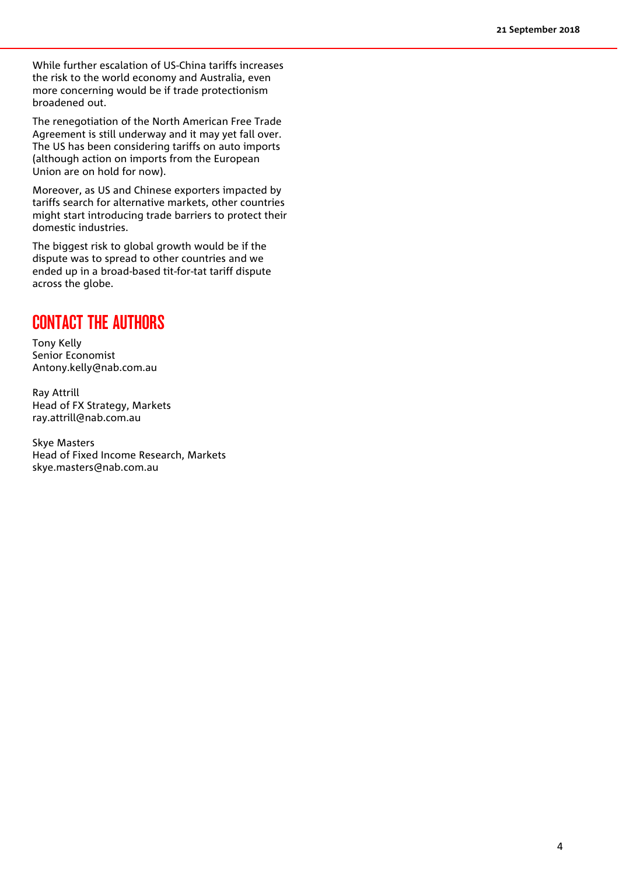While further escalation of US-China tariffs increases the risk to the world economy and Australia, even more concerning would be if trade protectionism broadened out.

The renegotiation of the North American Free Trade Agreement is still underway and it may yet fall over. The US has been considering tariffs on auto imports (although action on imports from the European Union are on hold for now).

Moreover, as US and Chinese exporters impacted by tariffs search for alternative markets, other countries might start introducing trade barriers to protect their domestic industries.

The biggest risk to global growth would be if the dispute was to spread to other countries and we ended up in a broad-based tit-for-tat tariff dispute across the globe.

## CONTACT THE AUTHORS

Tony Kelly Senior Economist [Antony.kelly@nab.com.au](mailto:Antony.kelly@nab.com.au)

Ray Attrill Head of FX Strategy, Markets [ray.attrill@nab.com.au](mailto:ray.attrill@nab.com.au)

Skye Masters Head of Fixed Income Research, Markets [skye.masters@nab.com.au](mailto:skye.masters@nab.com.au)